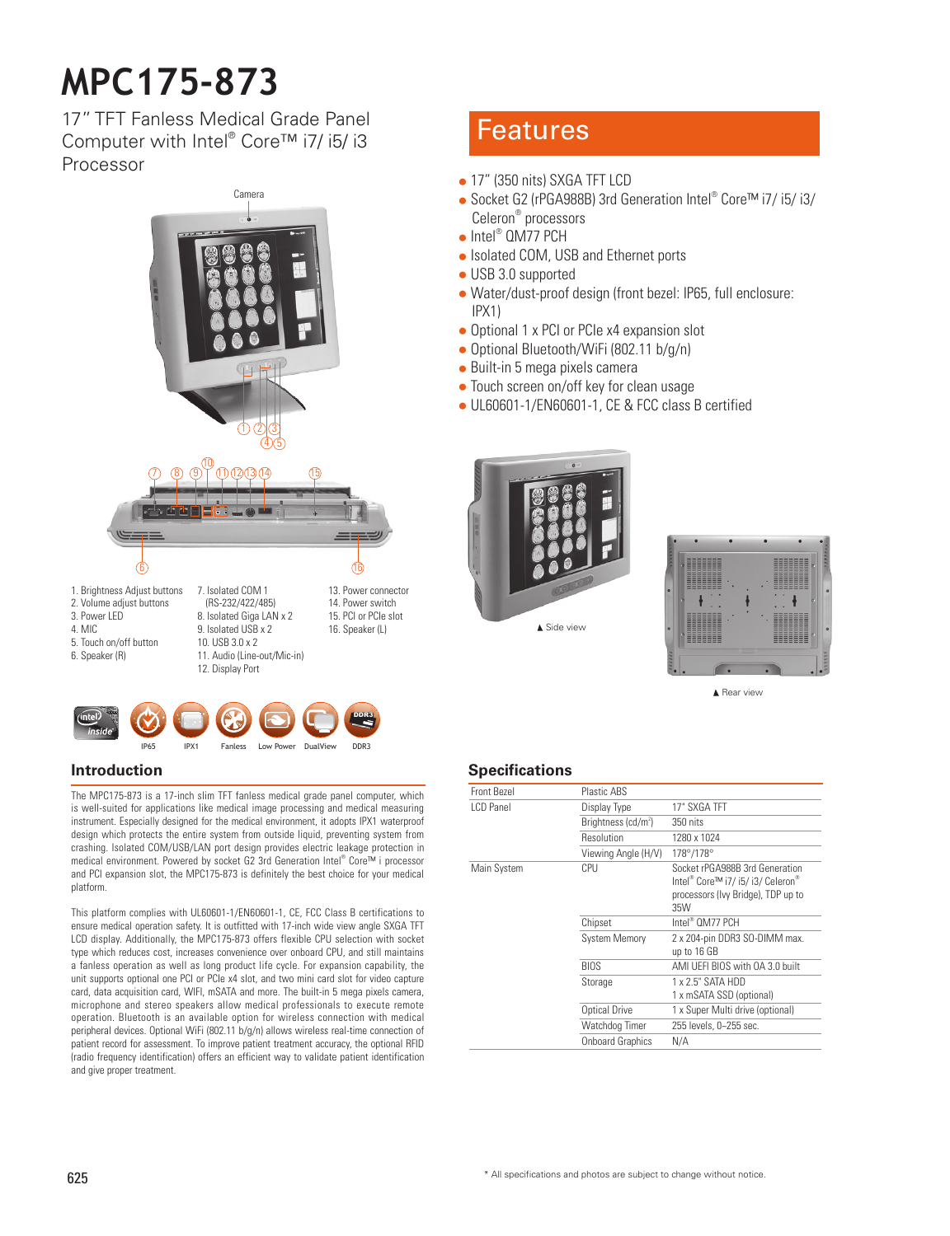# **MPC175-873**

17" TFT Fanless Medical Grade Panel Computer with Intel® Core™ i7/ i5/ i3 Processor<br>
● 17" (350 nits) SXGA TFT LCD



- 1. Brightness Adjust buttons
- 2. Volume adjust buttons
- 3. Power LED 4. MIC
- 5. Touch on/off button
- 6. Speaker (R)
- 9. Isolated USB x 2 10. USB 3.0 x 2 11. Audio (Line-out/Mic-in) 12. Display Port

7. Isolated COM 1 (RS-232/422/485) 8. Isolated Giga LAN x 2 13. Power connector 14 Power switch 15. PCI or PCIe slot 16. Speaker (L)

#### IPX1 Fanless Low Power DualView DDR3 DDR3

The MPC175-873 is a 17-inch slim TFT fanless medical grade panel computer, which is well-suited for applications like medical image processing and medical measuring instrument. Especially designed for the medical environment, it adopts IPX1 waterproof design which protects the entire system from outside liquid, preventing system from crashing. Isolated COM/USB/LAN port design provides electric leakage protection in medical environment. Powered by socket G2 3rd Generation Intel® Core™ i processor and PCI expansion slot, the MPC175-873 is definitely the best choice for your medical platform.

This platform complies with UL60601-1/EN60601-1, CE, FCC Class B certifications to ensure medical operation safety. It is outfitted with 17-inch wide view angle SXGA TFT LCD display. Additionally, the MPC175-873 offers flexible CPU selection with socket type which reduces cost, increases convenience over onboard CPU, and still maintains a fanless operation as well as long product life cycle. For expansion capability, the unit supports optional one PCI or PCIe x4 slot, and two mini card slot for video capture card, data acquisition card, WIFI, mSATA and more. The built-in 5 mega pixels camera, microphone and stereo speakers allow medical professionals to execute remote operation. Bluetooth is an available option for wireless connection with medical peripheral devices. Optional WiFi (802.11 b/g/n) allows wireless real-time connection of patient record for assessment. To improve patient treatment accuracy, the optional RFID (radio frequency identification) offers an efficient way to validate patient identification and give proper treatment.

## Features

- 
- Socket G2 (rPGA988B) 3rd Generation Intel® Core™ i7/ i5/ i3/ Celeron® processors
- Intel<sup>®</sup> QM77 PCH
- Isolated COM, USB and Ethernet ports
- USB 3.0 supported
- Water/dust-proof design (front bezel: IP65, full enclosure: IPX1)
- Optional 1 x PCI or PCIe x4 expansion slot
- Optional Bluetooth/WiFi (802.11 b/g/n)
- Built-in 5 mega pixels camera
- Touch screen on/off key for clean usage
- UL60601-1/EN60601-1, CE & FCC class B certified





▲ Rear view

### **Introduction Specifications**

| Front Bezel      | Plastic ABS                     |                                                                                                                                          |
|------------------|---------------------------------|------------------------------------------------------------------------------------------------------------------------------------------|
| <b>LCD Panel</b> | Display Type                    | 17" SXGA TFT                                                                                                                             |
|                  | Brightness (cd/m <sup>2</sup> ) | 350 nits                                                                                                                                 |
|                  | Resolution                      | 1280 x 1024                                                                                                                              |
|                  | Viewing Angle (H/V)             | 178°/178°                                                                                                                                |
| Main System      | CPU                             | Socket rPGA988B 3rd Generation<br>Intel <sup>®</sup> Core™ i7/ i5/ i3/ Celeron <sup>®</sup><br>processors (Ivy Bridge), TDP up to<br>35W |
|                  | Chipset                         | Intel <sup>®</sup> QM77 PCH                                                                                                              |
|                  | <b>System Memory</b>            | 2 x 204-pin DDR3 SO-DIMM max.<br>up to 16 GB                                                                                             |
|                  | <b>BIOS</b>                     | AMI UEFI BIOS with OA 3.0 built                                                                                                          |
|                  | Storage                         | $1 \times 2.5$ " SATA HDD<br>1 x mSATA SSD (optional)                                                                                    |
|                  | <b>Optical Drive</b>            | 1 x Super Multi drive (optional)                                                                                                         |
|                  | Watchdog Timer                  | 255 levels, 0~255 sec.                                                                                                                   |
|                  | <b>Onboard Graphics</b>         | N/A                                                                                                                                      |